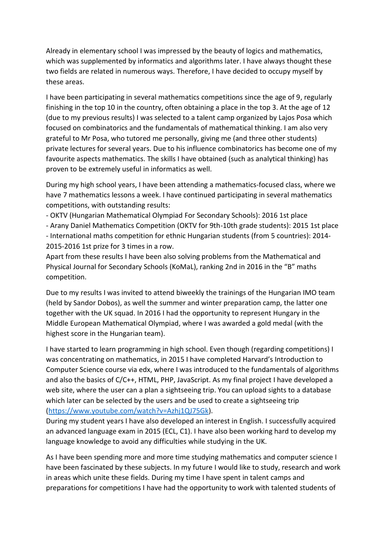Already in elementary school I was impressed by the beauty of logics and mathematics, which was supplemented by informatics and algorithms later. I have always thought these two fields are related in numerous ways. Therefore, I have decided to occupy myself by these areas.

I have been participating in several mathematics competitions since the age of 9, regularly finishing in the top 10 in the country, often obtaining a place in the top 3. At the age of 12 (due to my previous results) I was selected to a talent camp organized by Lajos Posa which focused on combinatorics and the fundamentals of mathematical thinking. I am also very grateful to Mr Posa, who tutored me personally, giving me (and three other students) private lectures for several years. Due to his influence combinatorics has become one of my favourite aspects mathematics. The skills I have obtained (such as analytical thinking) has proven to be extremely useful in informatics as well.

During my high school years, I have been attending a mathematics-focused class, where we have 7 mathematics lessons a week. I have continued participating in several mathematics competitions, with outstanding results:

- OKTV (Hungarian Mathematical Olympiad For Secondary Schools): 2016 1st place
- Arany Daniel Mathematics Competition (OKTV for 9th-10th grade students): 2015 1st place
- International maths competition for ethnic Hungarian students (from 5 countries): 2014- 2015-2016 1st prize for 3 times in a row.

Apart from these results I have been also solving problems from the Mathematical and Physical Journal for Secondary Schools (KoMaL), ranking 2nd in 2016 in the "B" maths competition.

Due to my results I was invited to attend biweekly the trainings of the Hungarian IMO team (held by Sandor Dobos), as well the summer and winter preparation camp, the latter one together with the UK squad. In 2016 I had the opportunity to represent Hungary in the Middle European Mathematical Olympiad, where I was awarded a gold medal (with the highest score in the Hungarian team).

I have started to learn programming in high school. Even though (regarding competitions) I was concentrating on mathematics, in 2015 I have completed Harvard's Introduction to Computer Science course via edx, where I was introduced to the fundamentals of algorithms and also the basics of C/C++, HTML, PHP, JavaScript. As my final project I have developed a web site, where the user can a plan a sightseeing trip. You can upload sights to a database which later can be selected by the users and be used to create a sightseeing trip [\(https://www.youtube.com/watch?v=Azhj1QJ75Gk\)](https://www.youtube.com/watch?v=Azhj1QJ75Gk).

During my student years I have also developed an interest in English. I successfully acquired an advanced language exam in 2015 (ECL, C1). I have also been working hard to develop my language knowledge to avoid any difficulties while studying in the UK.

As I have been spending more and more time studying mathematics and computer science I have been fascinated by these subjects. In my future I would like to study, research and work in areas which unite these fields. During my time I have spent in talent camps and preparations for competitions I have had the opportunity to work with talented students of